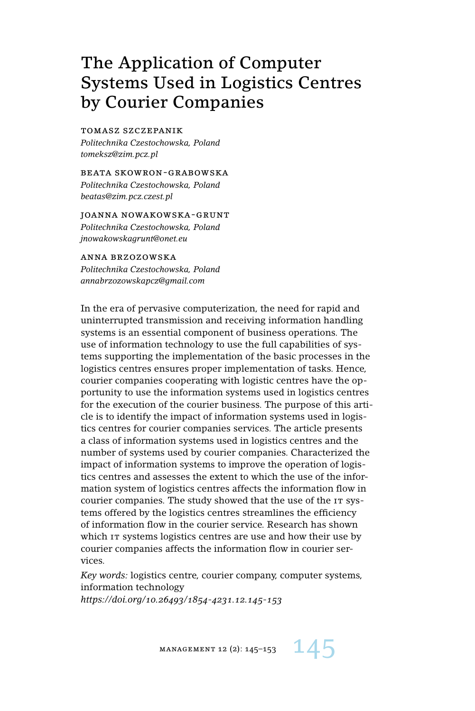# The Application of Computer Systems Used in Logistics Centres by Courier Companies

#### tomasz szczepanik

*Politechnika Czestochowska, Poland tomeksz@zim.pcz.pl*

beata skowron-grabowska *Politechnika Czestochowska, Poland beatas@zim.pcz.czest.pl*

joanna nowakowska-grunt *Politechnika Czestochowska, Poland jnowakowskagrunt@onet.eu*

anna brzozowska *Politechnika Czestochowska, Poland annabrzozowskapcz@gmail.com*

In the era of pervasive computerization, the need for rapid and uninterrupted transmission and receiving information handling systems is an essential component of business operations. The use of information technology to use the full capabilities of systems supporting the implementation of the basic processes in the logistics centres ensures proper implementation of tasks. Hence, courier companies cooperating with logistic centres have the opportunity to use the information systems used in logistics centres for the execution of the courier business. The purpose of this article is to identify the impact of information systems used in logistics centres for courier companies services. The article presents a class of information systems used in logistics centres and the number of systems used by courier companies. Characterized the impact of information systems to improve the operation of logistics centres and assesses the extent to which the use of the information system of logistics centres affects the information flow in courier companies. The study showed that the use of the IT systems offered by the logistics centres streamlines the efficiency of information flow in the courier service. Research has shown which IT systems logistics centres are use and how their use by courier companies affects the information flow in courier services.

*Key words:* logistics centre, courier company, computer systems, information technology *https://doi.org/10.26493/1854-4231.12.145-153*

MANAGEMENT 12 (2): 145-153  $14$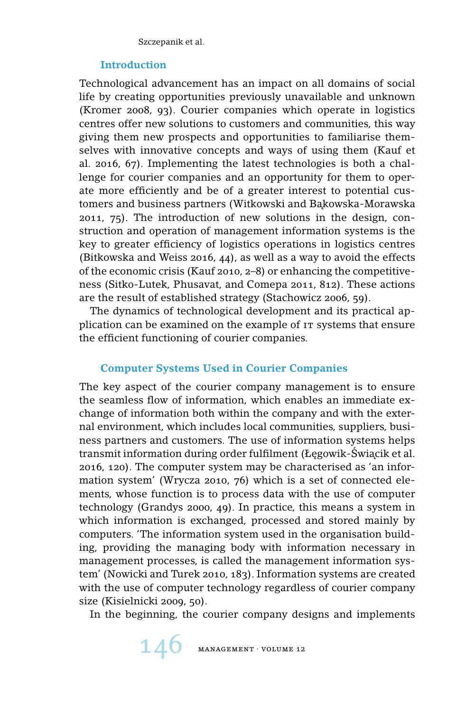### **Introduction**

Technological advancement has an impact on all domains of social life by creating opportunities previously unavailable and unknown (Kromer 2008, 93). Courier companies which operate in logistics centres offer new solutions to customers and communities, this way giving them new prospects and opportunities to familiarise themselves with innovative concepts and ways of using them (Kauf et al. 2016, 67). Implementing the latest technologies is both a challenge for courier companies and an opportunity for them to operate more efficiently and be of a greater interest to potential customers and business partners (Witkowski and Bakowska-Morawska 2011, 75). The introduction of new solutions in the design, construction and operation of management information systems is the key to greater efficiency of logistics operations in logistics centres (Bitkowska and Weiss 2016, 44), as well as a way to avoid the effects of the economic crisis (Kauf 2010, 2–8) or enhancing the competitiveness (Sitko-Lutek, Phusavat, and Comepa 2011, 812). These actions are the result of established strategy (Stachowicz 2006, 59).

The dynamics of technological development and its practical application can be examined on the example of IT systems that ensure the efficient functioning of courier companies.

## **Computer Systems Used in Courier Companies**

The key aspect of the courier company management is to ensure the seamless flow of information, which enables an immediate exchange of information both within the company and with the external environment, which includes local communities, suppliers, business partners and customers. The use of information systems helps transmit information during order fulfilment (Łegowik-Świącik et al. 2016, 120). The computer system may be characterised as 'an information system' (Wrycza 2010, 76) which is a set of connected elements, whose function is to process data with the use of computer technology (Grandys 2000, 49). In practice, this means a system in which information is exchanged, processed and stored mainly by computers. 'The information system used in the organisation building, providing the managing body with information necessary in management processes, is called the management information system' (Nowicki and Turek 2010, 183). Information systems are created with the use of computer technology regardless of courier company size (Kisielnicki 2009, 50).

In the beginning, the courier company designs and implements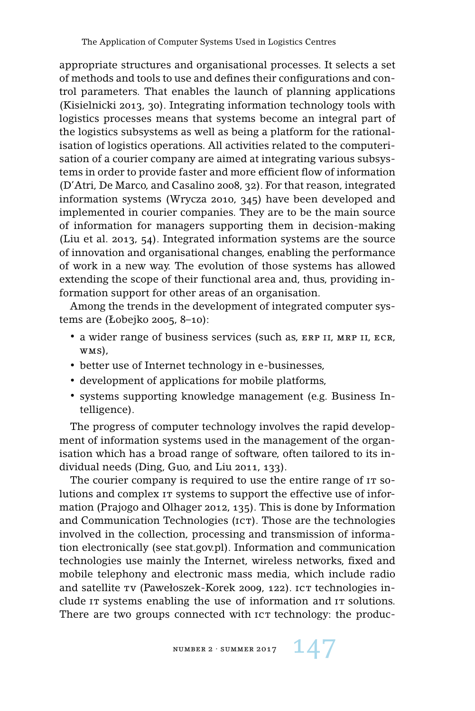appropriate structures and organisational processes. It selects a set of methods and tools to use and defines their configurations and control parameters. That enables the launch of planning applications (Kisielnicki 2013, 30). Integrating information technology tools with logistics processes means that systems become an integral part of the logistics subsystems as well as being a platform for the rationalisation of logistics operations. All activities related to the computerisation of a courier company are aimed at integrating various subsystems in order to provide faster and more efficient flow of information (D'Atri, De Marco, and Casalino 2008, 32). For that reason, integrated information systems (Wrycza 2010, 345) have been developed and implemented in courier companies. They are to be the main source of information for managers supporting them in decision-making (Liu et al. 2013, 54). Integrated information systems are the source of innovation and organisational changes, enabling the performance of work in a new way. The evolution of those systems has allowed extending the scope of their functional area and, thus, providing information support for other areas of an organisation.

Among the trends in the development of integrated computer systems are (Łobejko 2005, 8–10):

- a wider range of business services (such as, ERP II, MRP II, ECR, wms),
- better use of Internet technology in e-businesses,
- development of applications for mobile platforms,
- systems supporting knowledge management (e.g. Business Intelligence).

The progress of computer technology involves the rapid development of information systems used in the management of the organisation which has a broad range of software, often tailored to its individual needs (Ding, Guo, and Liu 2011, 133).

The courier company is required to use the entire range of  $I<sub>T</sub>$  solutions and complex IT systems to support the effective use of information (Prajogo and Olhager 2012, 135). This is done by Information and Communication Technologies (ICT). Those are the technologies involved in the collection, processing and transmission of information electronically (see stat.gov.pl). Information and communication technologies use mainly the Internet, wireless networks, fixed and mobile telephony and electronic mass media, which include radio and satellite  $\tau v$  (Pawełoszek-Korek 2009, 122). ICT technologies include it systems enabling the use of information and it solutions. There are two groups connected with ICT technology: the produc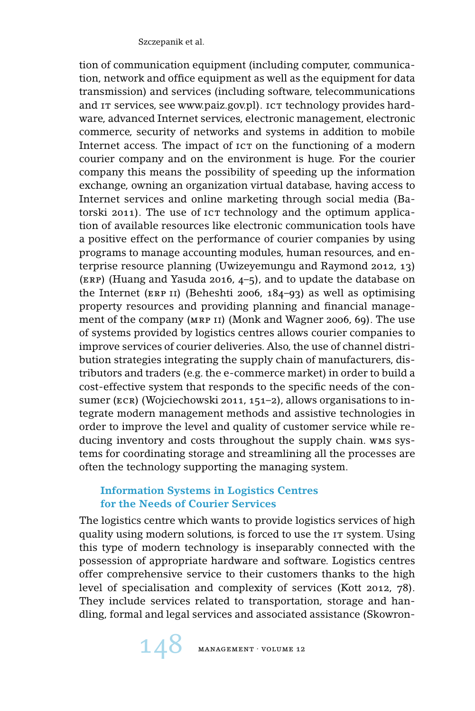tion of communication equipment (including computer, communication, network and office equipment as well as the equipment for data transmission) and services (including software, telecommunications and IT services, see www.paiz.gov.pl). ICT technology provides hardware, advanced Internet services, electronic management, electronic commerce, security of networks and systems in addition to mobile Internet access. The impact of ict on the functioning of a modern courier company and on the environment is huge. For the courier company this means the possibility of speeding up the information exchange, owning an organization virtual database, having access to Internet services and online marketing through social media (Batorski 2011). The use of  $\iota$ cr technology and the optimum application of available resources like electronic communication tools have a positive effect on the performance of courier companies by using programs to manage accounting modules, human resources, and enterprise resource planning (Uwizeyemungu and Raymond 2012, 13) (erp) (Huang and Yasuda 2016, 4–5), and to update the database on the Internet (ERP II) (Beheshti 2006,  $184-93$ ) as well as optimising property resources and providing planning and financial management of the company (MRP II) (Monk and Wagner 2006, 69). The use of systems provided by logistics centres allows courier companies to improve services of courier deliveries. Also, the use of channel distribution strategies integrating the supply chain of manufacturers, distributors and traders (e.g. the e-commerce market) in order to build a cost-effective system that responds to the specific needs of the consumer (ECR) (Wojciechowski 2011, 151–2), allows organisations to integrate modern management methods and assistive technologies in order to improve the level and quality of customer service while reducing inventory and costs throughout the supply chain. wms systems for coordinating storage and streamlining all the processes are often the technology supporting the managing system.

## **Information Systems in Logistics Centres for the Needs of Courier Services**

The logistics centre which wants to provide logistics services of high quality using modern solutions, is forced to use the IT system. Using this type of modern technology is inseparably connected with the possession of appropriate hardware and software. Logistics centres offer comprehensive service to their customers thanks to the high level of specialisation and complexity of services (Kott 2012, 78). They include services related to transportation, storage and handling, formal and legal services and associated assistance (Skowron-

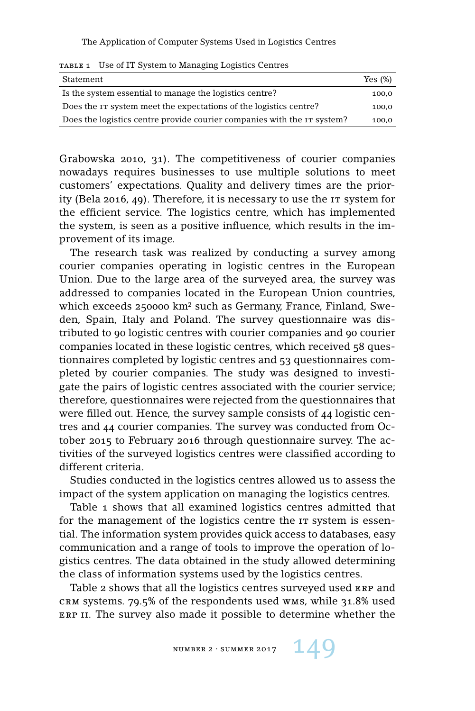The Application of Computer Systems Used in Logistics Centres

| Statement                                                                   | Yes (%) |
|-----------------------------------------------------------------------------|---------|
| Is the system essential to manage the logistics centre?                     | 100.0   |
| Does the IT system meet the expectations of the logistics centre?           | 100.0   |
| Does the logistics centre provide courier companies with the $\tau$ system? | 100,0   |

Grabowska 2010, 31). The competitiveness of courier companies nowadays requires businesses to use multiple solutions to meet customers' expectations. Quality and delivery times are the priority (Bela 2016, 49). Therefore, it is necessary to use the IT system for the efficient service. The logistics centre, which has implemented the system, is seen as a positive influence, which results in the improvement of its image.

The research task was realized by conducting a survey among courier companies operating in logistic centres in the European Union. Due to the large area of the surveyed area, the survey was addressed to companies located in the European Union countries, which exceeds 250000 km² such as Germany, France, Finland, Sweden, Spain, Italy and Poland. The survey questionnaire was distributed to 90 logistic centres with courier companies and 90 courier companies located in these logistic centres, which received 58 questionnaires completed by logistic centres and 53 questionnaires completed by courier companies. The study was designed to investigate the pairs of logistic centres associated with the courier service; therefore, questionnaires were rejected from the questionnaires that were filled out. Hence, the survey sample consists of 44 logistic centres and 44 courier companies. The survey was conducted from October 2015 to February 2016 through questionnaire survey. The activities of the surveyed logistics centres were classified according to different criteria.

Studies conducted in the logistics centres allowed us to assess the impact of the system application on managing the logistics centres.

Table 1 shows that all examined logistics centres admitted that for the management of the logistics centre the  $I\tau$  system is essential. The information system provides quick access to databases, easy communication and a range of tools to improve the operation of logistics centres. The data obtained in the study allowed determining the class of information systems used by the logistics centres.

Table 2 shows that all the logistics centres surveyed used ERP and crm systems. 79.5% of the respondents used wms, while 31.8% used ERP II. The survey also made it possible to determine whether the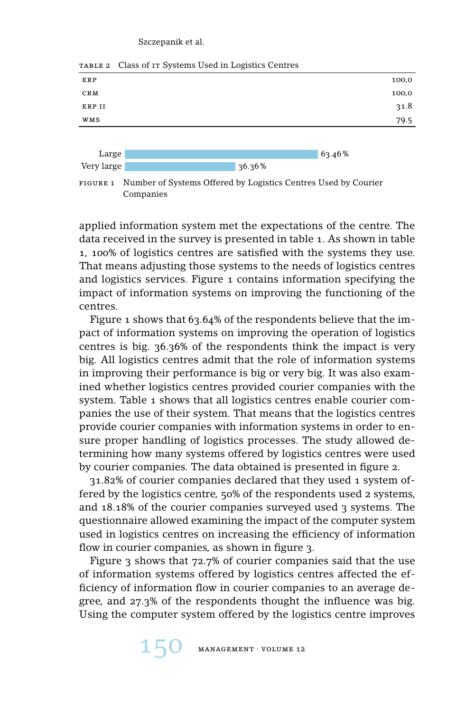#### Szczepanik et al.



table 2 Class of it Systems Used in Logistics Centres

figure 1 Number of Systems Offered by Logistics Centres Used by Courier Companies

applied information system met the expectations of the centre. The data received in the survey is presented in table 1. As shown in table 1, 100% of logistics centres are satisfied with the systems they use. That means adjusting those systems to the needs of logistics centres and logistics services. Figure 1 contains information specifying the impact of information systems on improving the functioning of the centres.

Figure 1 shows that 63.64% of the respondents believe that the impact of information systems on improving the operation of logistics centres is big. 36.36% of the respondents think the impact is very big. All logistics centres admit that the role of information systems in improving their performance is big or very big. It was also examined whether logistics centres provided courier companies with the system. Table 1 shows that all logistics centres enable courier companies the use of their system. That means that the logistics centres provide courier companies with information systems in order to ensure proper handling of logistics processes. The study allowed determining how many systems offered by logistics centres were used by courier companies. The data obtained is presented in figure 2.

31.82% of courier companies declared that they used 1 system offered by the logistics centre, 50% of the respondents used 2 systems, and 18.18% of the courier companies surveyed used 3 systems. The questionnaire allowed examining the impact of the computer system used in logistics centres on increasing the efficiency of information flow in courier companies, as shown in figure 3.

Figure 3 shows that 72.7% of courier companies said that the use of information systems offered by logistics centres affected the efficiency of information flow in courier companies to an average degree, and 27.3% of the respondents thought the influence was big. Using the computer system offered by the logistics centre improves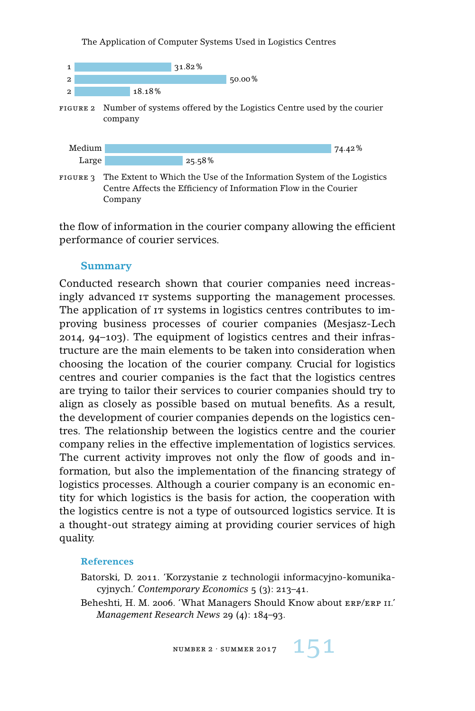The Application of Computer Systems Used in Logistics Centres



figure 2 Number of systems offered by the Logistics Centre used by the courier company



figure 3 The Extent to Which the Use of the Information System of the Logistics Centre Affects the Efficiency of Information Flow in the Courier Company

the flow of information in the courier company allowing the efficient performance of courier services.

#### **Summary**

Conducted research shown that courier companies need increasingly advanced it systems supporting the management processes. The application of  $I<sub>T</sub>$  systems in logistics centres contributes to improving business processes of courier companies (Mesjasz-Lech 2014, 94–103). The equipment of logistics centres and their infrastructure are the main elements to be taken into consideration when choosing the location of the courier company. Crucial for logistics centres and courier companies is the fact that the logistics centres are trying to tailor their services to courier companies should try to align as closely as possible based on mutual benefits. As a result, the development of courier companies depends on the logistics centres. The relationship between the logistics centre and the courier company relies in the effective implementation of logistics services. The current activity improves not only the flow of goods and information, but also the implementation of the financing strategy of logistics processes. Although a courier company is an economic entity for which logistics is the basis for action, the cooperation with the logistics centre is not a type of outsourced logistics service. It is a thought-out strategy aiming at providing courier services of high quality.

#### **References**

Batorski, D. 2011. 'Korzystanie z technologii informacyjno-komunikacyjnych.' *Contemporary Economics* 5 (3): 213–41.

Beheshti, H. M. 2006. 'What Managers Should Know about ERP/ERP II.' *Management Research News* 29 (4): 184–93.

NUMBER 2 · SUMMER 2017  $151$ 

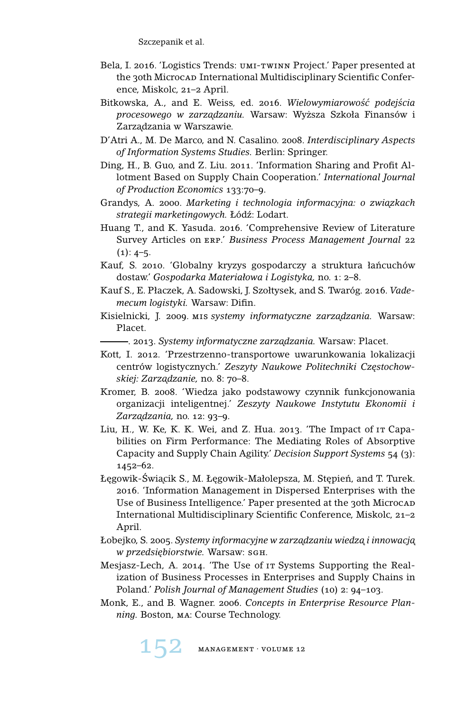Szczepanik et al.

- Bela, I. 2016. 'Logistics Trends: umi-twinn Project.' Paper presented at the 30th Microcad International Multidisciplinary Scientific Conference, Miskolc, 21–2 April.
- Bitkowska, A., and E. Weiss, ed. 2016. *Wielowymiarowość podejścia procesowego w zarz ˛adzaniu.* Warsaw: Wy˙zsza Szkoła Finansów i Zarzadzania w Warszawie.
- D'Atri A., M. De Marco, and N. Casalino. 2008. *Interdisciplinary Aspects of Information Systems Studies.* Berlin: Springer.
- Ding, H., B. Guo, and Z. Liu. 2011. 'Information Sharing and Profit Allotment Based on Supply Chain Cooperation.' *International Journal of Production Economics* 133:70–9.
- Grandys, A. 2000. Marketing i technologia informacyjna: o związkach *strategii marketingowych.* Łód´z: Lodart.
- Huang T., and K. Yasuda. 2016. 'Comprehensive Review of Literature Survey Articles on erp.' *Business Process Management Journal* 22  $(1): 4-5.$
- Kauf, S. 2010. 'Globalny kryzys gospodarczy a struktura łancuchów ´ dostaw.' *Gospodarka Materiałowa i Logistyka,* no. 1: 2–8.
- Kauf S., E. Płaczek, A. Sadowski, J. Szołtysek, and S. Twaróg. 2016. *Vademecum logistyki.* Warsaw: Difin.
- Kisielnicki, J. 2009. mis *systemy informatyczne zarzadzania*. Warsaw: Placet.
- . 2013. *Systemy informatyczne zarz ˛adzania.* Warsaw: Placet.
- Kott, I. 2012. 'Przestrzenno-transportowe uwarunkowania lokalizacji centrów logistycznych.' Zeszyty Naukowe Politechniki Czestochow*skiej: Zarz ˛adzanie,* no. 8: 70–8.
- Kromer, B. 2008. 'Wiedza jako podstawowy czynnik funkcjonowania organizacji inteligentnej.' *Zeszyty Naukowe Instytutu Ekonomii i Zarz ˛adzania,* no. 12: 93–9.
- Liu, H., W. Ke, K. K. Wei, and Z. Hua. 2013. 'The Impact of it Capabilities on Firm Performance: The Mediating Roles of Absorptive Capacity and Supply Chain Agility.' *Decision Support Systems* 54 (3): 1452–62.
- Legowik-Świącik S., M. Łegowik-Małolepsza, M. Stępień, and T. Turek. 2016. 'Information Management in Dispersed Enterprises with the Use of Business Intelligence.' Paper presented at the 30th Microcap International Multidisciplinary Scientific Conference, Miskolc, 21–2 April.
- Łobejko, S. 2005. *Systemy informacyjne w zarz ˛adzaniu wiedz ˛a i innowacj ˛a w przedsiębiorstwie*. Warsaw: sGн.
- Mesjasz-Lech, A. 2014. 'The Use of IT Systems Supporting the Realization of Business Processes in Enterprises and Supply Chains in Poland.' *Polish Journal of Management Studies* (10) 2: 94–103.
- Monk, E., and B. Wagner. 2006. *Concepts in Enterprise Resource Planning.* Boston, ma: Course Technology.

152 MANAGEMENT · VOLUME 12